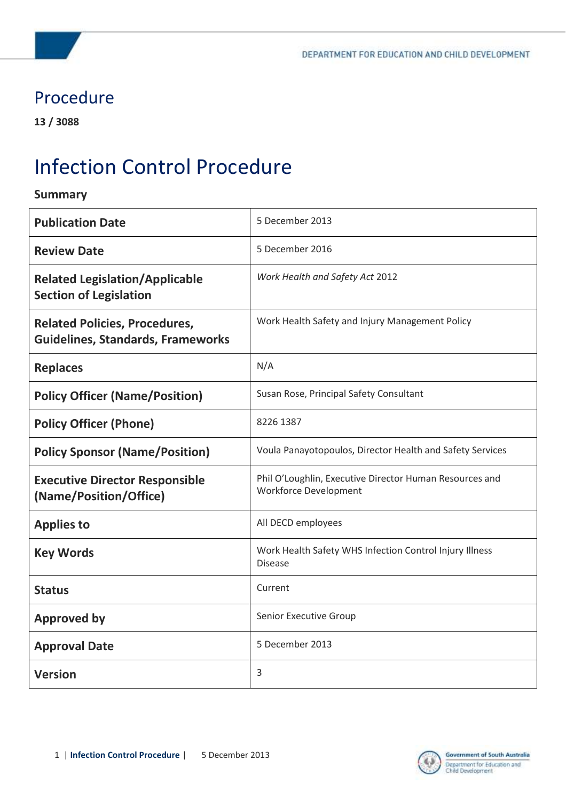### Procedure

**13 / 3088**

# Infection Control Procedure

#### **Summary**

| <b>Publication Date</b>                                                          | 5 December 2013                                                                         |
|----------------------------------------------------------------------------------|-----------------------------------------------------------------------------------------|
| <b>Review Date</b>                                                               | 5 December 2016                                                                         |
| <b>Related Legislation/Applicable</b><br><b>Section of Legislation</b>           | Work Health and Safety Act 2012                                                         |
| <b>Related Policies, Procedures,</b><br><b>Guidelines, Standards, Frameworks</b> | Work Health Safety and Injury Management Policy                                         |
| <b>Replaces</b>                                                                  | N/A                                                                                     |
| <b>Policy Officer (Name/Position)</b>                                            | Susan Rose, Principal Safety Consultant                                                 |
| <b>Policy Officer (Phone)</b>                                                    | 8226 1387                                                                               |
| <b>Policy Sponsor (Name/Position)</b>                                            | Voula Panayotopoulos, Director Health and Safety Services                               |
| <b>Executive Director Responsible</b><br>(Name/Position/Office)                  | Phil O'Loughlin, Executive Director Human Resources and<br><b>Workforce Development</b> |
| <b>Applies to</b>                                                                | All DECD employees                                                                      |
| <b>Key Words</b>                                                                 | Work Health Safety WHS Infection Control Injury Illness<br><b>Disease</b>               |
| <b>Status</b>                                                                    | Current                                                                                 |
| <b>Approved by</b>                                                               | Senior Executive Group                                                                  |
| <b>Approval Date</b>                                                             | 5 December 2013                                                                         |
| <b>Version</b>                                                                   | 3                                                                                       |

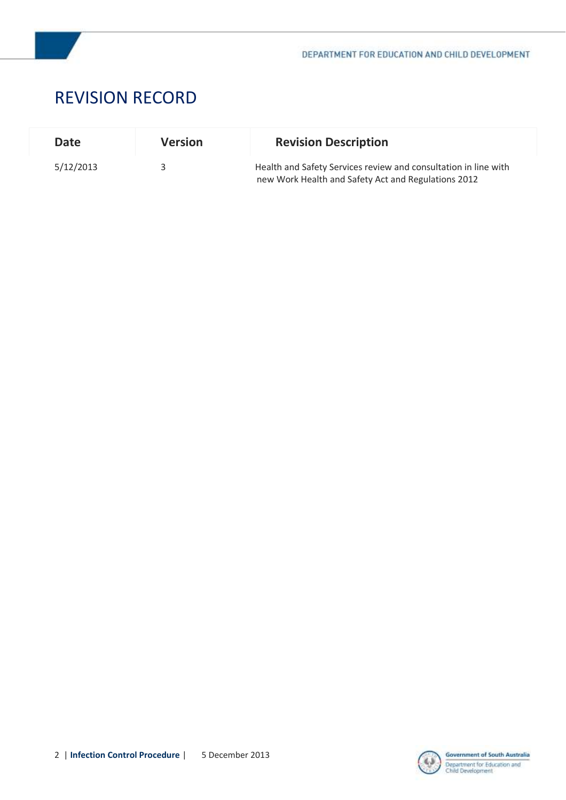

### REVISION RECORD

| <b>Date</b> | <b>Version</b> | <b>Revision Description</b>                                                                                            |
|-------------|----------------|------------------------------------------------------------------------------------------------------------------------|
| 5/12/2013   |                | Health and Safety Services review and consultation in line with<br>new Work Health and Safety Act and Regulations 2012 |

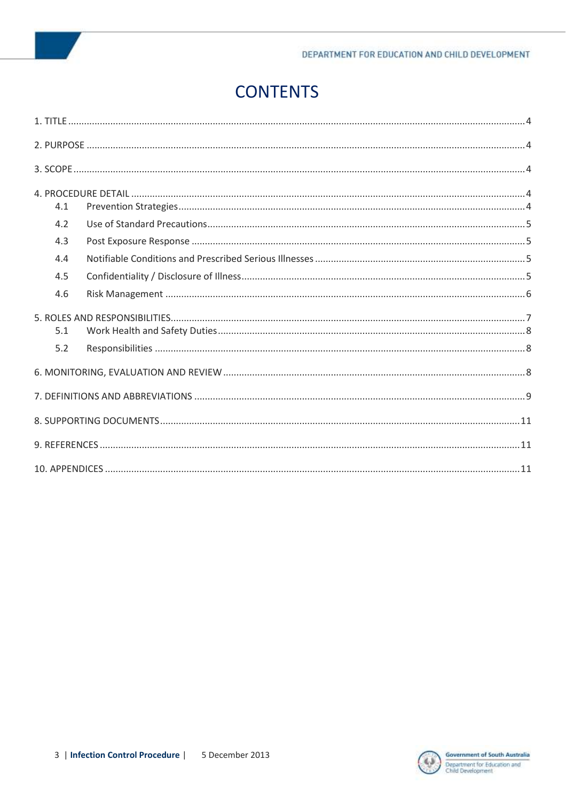# **CONTENTS**

| 4.1 |  |
|-----|--|
| 4.2 |  |
| 4.3 |  |
| 4.4 |  |
| 4.5 |  |
| 4.6 |  |
|     |  |
| 5.1 |  |
| 5.2 |  |
|     |  |
|     |  |
|     |  |
|     |  |
|     |  |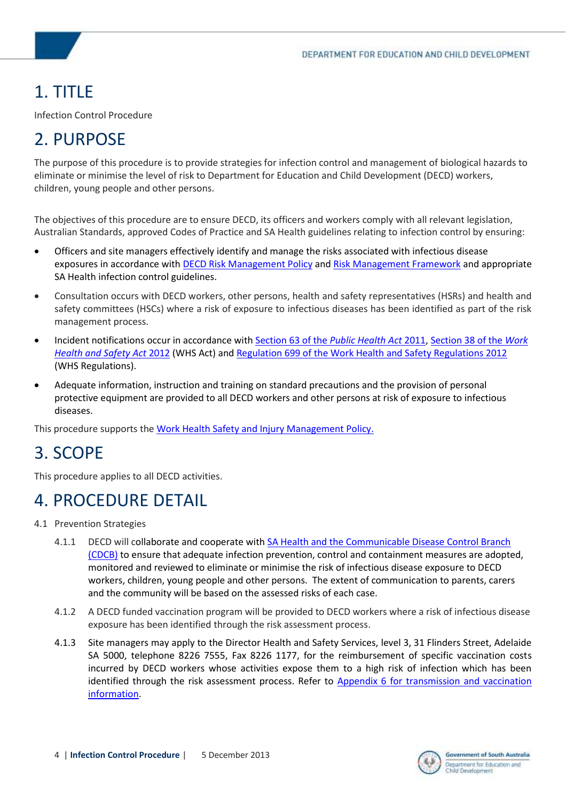# <span id="page-3-0"></span>1. TITLE

Infection Control Procedure

# <span id="page-3-1"></span>2. PURPOSE

The purpose of this procedure is to provide strategies for infection control and management of biological hazards to eliminate or minimise the level of risk to Department for Education and Child Development (DECD) workers, children, young people and other persons.

The objectives of this procedure are to ensure DECD, its officers and workers comply with all relevant legislation, Australian Standards, approved Codes of Practice and SA Health guidelines relating to infection control by ensuring:

- Officers and site managers effectively identify and manage the risks associated with infectious disease exposures in accordance with [DECD Risk Management Policy](https://myintranet.learnlink.sa.edu.au/library/document-library/policy/operations-and-management/audit-and-risk/risk-management-policy.pdf) and [Risk Management Framework](https://myintranet.learnlink.sa.edu.au/library/document-library/policy/operations-and-management/audit-and-risk/risk-management-framework.pdf) and appropriate SA Health infection control guidelines.
- Consultation occurs with DECD workers, other persons, health and safety representatives (HSRs) and health and safety committees (HSCs) where a risk of exposure to infectious diseases has been identified as part of the risk management process.
- Incident notifications occur in accordance wit[h Section 63 of the](http://www.austlii.edu.au/au/legis/sa/consol_act/sapha2011310/s63.html) *Public Health Act* 2011[, Section 38 of the](http://www.austlii.edu.au/au/legis/sa/consol_act/whasa2012218/s38.html) *Work [Health and Safety Act](http://www.austlii.edu.au/au/legis/sa/consol_act/whasa2012218/s38.html)* 2012 (WHS Act) an[d Regulation 699 of the Work Health and Safety Regulations 2012](http://www.austlii.edu.au/au/legis/sa/consol_reg/whasr2012327/s699.html) (WHS Regulations).
- Adequate information, instruction and training on standard precautions and the provision of personal protective equipment are provided to all DECD workers and other persons at risk of exposure to infectious diseases.

This procedure supports th[e Work Health Safety and Injury Management Policy.](https://myintranet.learnlink.sa.edu.au/library/document-library/policy/hr/health-and-safety/work-health-safety-and-injury-management-policy.pdf)

### <span id="page-3-2"></span>3. SCOPE

This procedure applies to all DECD activities.

### <span id="page-3-3"></span>4. PROCEDURE DETAIL

- <span id="page-3-4"></span>4.1 Prevention Strategies
	- 4.1.1 DECD will collaborate and cooperate with SA Health and the Communicable Disease Control Branch [\(CDCB\)](http://www.sahealth.sa.gov.au/wps/wcm/connect/public+content/sa+health+internet/about+us/department+of+health/public+health+and+clinical+systems/communicable+disease+control+branch) to ensure that adequate infection prevention, control and containment measures are adopted, monitored and reviewed to eliminate or minimise the risk of infectious disease exposure to DECD workers, children, young people and other persons. The extent of communication to parents, carers and the community will be based on the assessed risks of each case.
	- 4.1.2 A DECD funded vaccination program will be provided to DECD workers where a risk of infectious disease exposure has been identified through the risk assessment process.
	- 4.1.3 Site managers may apply to the Director Health and Safety Services, level 3, 31 Flinders Street, Adelaide SA 5000, telephone 8226 7555, Fax 8226 1177, for the reimbursement of specific vaccination costs incurred by DECD workers whose activities expose them to a high risk of infection which has been identified through the risk assessment process. Refer to Appendix 6 for transmission and vaccination [information.](https://myintranet.learnlink.sa.edu.au/library/document-library/procedure/hr/health-and-safety/hazards/appendix-6-transmission-and-vaccination-information.docx)

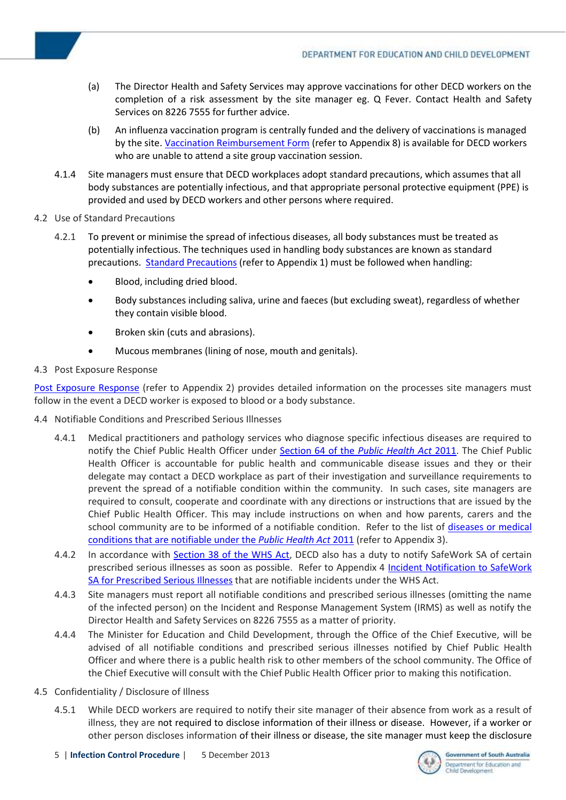- (a) The Director Health and Safety Services may approve vaccinations for other DECD workers on the completion of a risk assessment by the site manager eg. Q Fever. Contact Health and Safety Services on 8226 7555 for further advice.
- (b) An influenza vaccination program is centrally funded and the delivery of vaccinations is managed by the site. [Vaccination Reimbursement Form](https://myintranet.learnlink.sa.edu.au/library/document-library/procedure/hr/health-and-safety/hazards/appendix-8-flu-vaccnation-reimbursement-form.doc) (refer to Appendix 8) is available for DECD workers who are unable to attend a site group vaccination session.
- 4.1.4 Site managers must ensure that DECD workplaces adopt standard precautions, which assumes that all body substances are potentially infectious, and that appropriate personal protective equipment (PPE) is provided and used by DECD workers and other persons where required.
- <span id="page-4-0"></span>4.2 Use of Standard Precautions
	- 4.2.1 To prevent or minimise the spread of infectious diseases, all body substances must be treated as potentially infectious. The techniques used in handling body substances are known as standard precautions. [Standard Precautions](https://myintranet.learnlink.sa.edu.au/library/document-library/procedure/hr/health-and-safety/hazards/appendix-1-standard-precautions.docx) (refer to Appendix 1) must be followed when handling:
		- Blood, including dried blood.
		- Body substances including saliva, urine and faeces (but excluding sweat), regardless of whether they contain visible blood.
		- Broken skin (cuts and abrasions).
		- Mucous membranes (lining of nose, mouth and genitals).

#### <span id="page-4-1"></span>4.3 Post Exposure Response

[Post Exposure Response](https://myintranet.learnlink.sa.edu.au/library/document-library/procedure/hr/health-and-safety/hazards/appendix-2-post-exposure-response.docx) (refer to Appendix 2) provides detailed information on the processes site managers must follow in the event a DECD worker is exposed to blood or a body substance.

- <span id="page-4-2"></span>4.4 Notifiable Conditions and Prescribed Serious Illnesses
	- 4.4.1 Medical practitioners and pathology services who diagnose specific infectious diseases are required to notify the Chief Public Health Officer under [Section 64 of the](http://www.austlii.edu.au/au/legis/sa/consol_act/sapha2011310/s64.html) *Public Health Act* 2011. The Chief Public Health Officer is accountable for public health and communicable disease issues and they or their delegate may contact a DECD workplace as part of their investigation and surveillance requirements to prevent the spread of a notifiable condition within the community. In such cases, site managers are required to consult, cooperate and coordinate with any directions or instructions that are issued by the Chief Public Health Officer. This may include instructions on when and how parents, carers and the school community are to be informed of a notifiable condition. Refer to the list of [diseases or medical](https://myintranet.learnlink.sa.edu.au/library/document-library/procedure/hr/health-and-safety/hazards/appendix-3-notifiable-and-controlled-notifiable-conditions.docx)  [conditions that are notifiable under the](https://myintranet.learnlink.sa.edu.au/library/document-library/procedure/hr/health-and-safety/hazards/appendix-3-notifiable-and-controlled-notifiable-conditions.docx) *Public Health Act* 2011 (refer to Appendix 3).
	- 4.4.2 In accordance with [Section 38 of the WHS Act,](http://www.austlii.edu.au/au/legis/sa/consol_act/whasa2012218/s38.html) DECD also has a duty to notify SafeWork SA of certain prescribed serious illnesses as soon as possible. Refer to Appendix 4 [Incident Notification to SafeWork](hhttps://myintranet.learnlink.sa.edu.au/library/document-library/procedure/hr/health-and-safety/hazards/appendix-4-incident-notification-to-safework-sa-for-prescribed-serious-illnesses.docx)  [SA for Prescribed Serious Illnesses](hhttps://myintranet.learnlink.sa.edu.au/library/document-library/procedure/hr/health-and-safety/hazards/appendix-4-incident-notification-to-safework-sa-for-prescribed-serious-illnesses.docx) that are notifiable incidents under the WHS Act.
	- 4.4.3 Site managers must report all notifiable conditions and prescribed serious illnesses (omitting the name of the infected person) on the Incident and Response Management System (IRMS) as well as notify the Director Health and Safety Services on 8226 7555 as a matter of priority.
	- 4.4.4 The Minister for Education and Child Development, through the Office of the Chief Executive, will be advised of all notifiable conditions and prescribed serious illnesses notified by Chief Public Health Officer and where there is a public health risk to other members of the school community. The Office of the Chief Executive will consult with the Chief Public Health Officer prior to making this notification.
- <span id="page-4-3"></span>4.5 Confidentiality / Disclosure of Illness
	- 4.5.1 While DECD workers are required to notify their site manager of their absence from work as a result of illness, they are not required to disclose information of their illness or disease. However, if a worker or other person discloses information of their illness or disease, the site manager must keep the disclosure

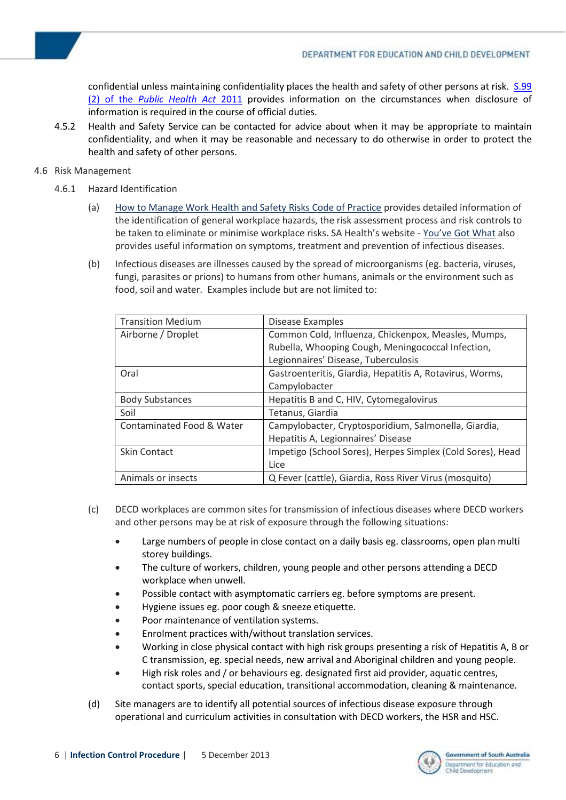confidential unless maintaining confidentiality places the health and safety of other persons at risk. S.99 (2) of the *[Public Health Act](http://www.austlii.edu.au/au/legis/sa/consol_act/sapha2011310/s98.html)* 2011 provides information on the circumstances when disclosure of information is required in the course of official duties.

4.5.2 Health and Safety Service can be contacted for advice about when it may be appropriate to maintain confidentiality, and when it may be reasonable and necessary to do otherwise in order to protect the health and safety of other persons.

#### <span id="page-5-0"></span>4.6 Risk Management

- 4.6.1 Hazard Identification
	- (a) [How to Manage Work Health and Safety Risks Code of Practice](http://www.safeworkaustralia.gov.au/sites/SWA/about/Publications/Documents/633/How_to_Manage_Work_Health_and_Safety_Risks.pdf) provides detailed information of the identification of general workplace hazards, the risk assessment process and risk controls to be taken to eliminate or minimise workplace risks. SA Health's website - [You've Got What](http://www.sahealth.sa.gov.au/wps/wcm/connect/ca4e8a004178eda39c9eff67a94f09f9/9024+You) also provides useful information on symptoms, treatment and prevention of infectious diseases.
	- (b) Infectious diseases are illnesses caused by the spread of microorganisms (eg. bacteria, viruses, fungi, parasites or prions) to humans from other humans, animals or the environment such as food, soil and water. Examples include but are not limited to:

| <b>Transition Medium</b>  | Disease Examples                                           |
|---------------------------|------------------------------------------------------------|
| Airborne / Droplet        | Common Cold, Influenza, Chickenpox, Measles, Mumps,        |
|                           | Rubella, Whooping Cough, Meningococcal Infection,          |
|                           | Legionnaires' Disease, Tuberculosis                        |
| Oral                      | Gastroenteritis, Giardia, Hepatitis A, Rotavirus, Worms,   |
|                           | Campylobacter                                              |
| <b>Body Substances</b>    | Hepatitis B and C, HIV, Cytomegalovirus                    |
| Soil                      | Tetanus, Giardia                                           |
| Contaminated Food & Water | Campylobacter, Cryptosporidium, Salmonella, Giardia,       |
|                           | Hepatitis A, Legionnaires' Disease                         |
| <b>Skin Contact</b>       | Impetigo (School Sores), Herpes Simplex (Cold Sores), Head |
|                           | Lice                                                       |
| Animals or insects        | Q Fever (cattle), Giardia, Ross River Virus (mosquito)     |
|                           |                                                            |

- (c) DECD workplaces are common sites for transmission of infectious diseases where DECD workers and other persons may be at risk of exposure through the following situations:
	- Large numbers of people in close contact on a daily basis eg. classrooms, open plan multi storey buildings.
	- The culture of workers, children, young people and other persons attending a DECD workplace when unwell.
	- Possible contact with asymptomatic carriers eg. before symptoms are present.
	- Hygiene issues eg. poor cough & sneeze etiquette.
	- Poor maintenance of ventilation systems.
	- Enrolment practices with/without translation services.
	- Working in close physical contact with high risk groups presenting a risk of Hepatitis A, B or C transmission, eg. special needs, new arrival and Aboriginal children and young people.
	- High risk roles and / or behaviours eg. designated first aid provider, aquatic centres, contact sports, special education, transitional accommodation, cleaning & maintenance.
- (d) Site managers are to identify all potential sources of infectious disease exposure through operational and curriculum activities in consultation with DECD workers, the HSR and HSC.

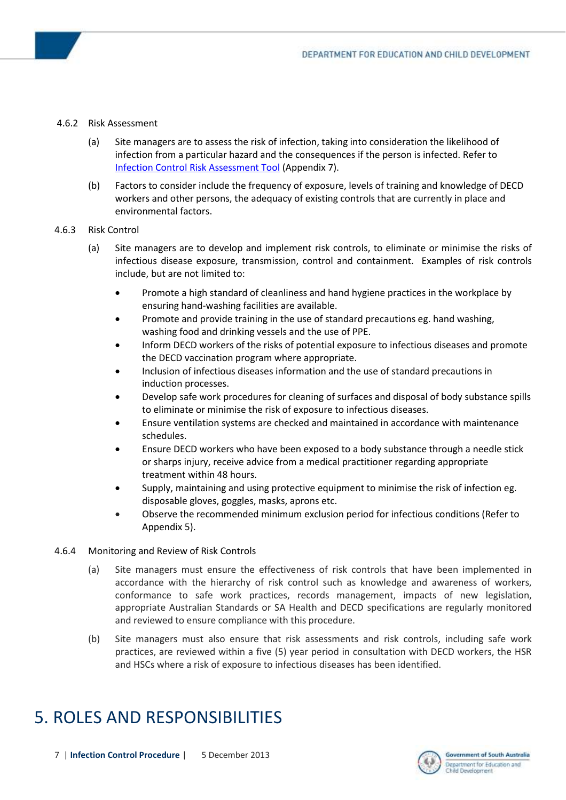#### 4.6.2 Risk Assessment

- (a) Site managers are to assess the risk of infection, taking into consideration the likelihood of infection from a particular hazard and the consequences if the person is infected. Refer to [Infection Control Risk Assessment Tool](https://myintranet.learnlink.sa.edu.au/library/document-library/procedure/hr/health-and-safety/hazards/appendix-7-infection-control-risk-assessment-form.doc) (Appendix 7).
- (b) Factors to consider include the frequency of exposure, levels of training and knowledge of DECD workers and other persons, the adequacy of existing controls that are currently in place and environmental factors.

#### 4.6.3 Risk Control

- (a) Site managers are to develop and implement risk controls, to eliminate or minimise the risks of infectious disease exposure, transmission, control and containment. Examples of risk controls include, but are not limited to:
	- Promote a high standard of cleanliness and hand hygiene practices in the workplace by ensuring hand-washing facilities are available.
	- Promote and provide training in the use of standard precautions eg. hand washing, washing food and drinking vessels and the use of PPE.
	- Inform DECD workers of the risks of potential exposure to infectious diseases and promote the DECD vaccination program where appropriate.
	- Inclusion of infectious diseases information and the use of standard precautions in induction processes.
	- Develop safe work procedures for cleaning of surfaces and disposal of body substance spills to eliminate or minimise the risk of exposure to infectious diseases.
	- Ensure ventilation systems are checked and maintained in accordance with maintenance schedules.
	- Ensure DECD workers who have been exposed to a body substance through a needle stick or sharps injury, receive advice from a medical practitioner regarding appropriate treatment within 48 hours.
	- Supply, maintaining and using protective equipment to minimise the risk of infection eg. disposable gloves, goggles, masks, aprons etc.
	- Observe the recommended minimum exclusion period for infectious conditions (Refer to Appendix 5).

#### 4.6.4 Monitoring and Review of Risk Controls

- (a) Site managers must ensure the effectiveness of risk controls that have been implemented in accordance with the hierarchy of risk control such as knowledge and awareness of workers, conformance to safe work practices, records management, impacts of new legislation, appropriate Australian Standards or SA Health and DECD specifications are regularly monitored and reviewed to ensure compliance with this procedure.
- (b) Site managers must also ensure that risk assessments and risk controls, including safe work practices, are reviewed within a five (5) year period in consultation with DECD workers, the HSR and HSCs where a risk of exposure to infectious diseases has been identified.

### <span id="page-6-0"></span>5. ROLES AND RESPONSIBILITIES

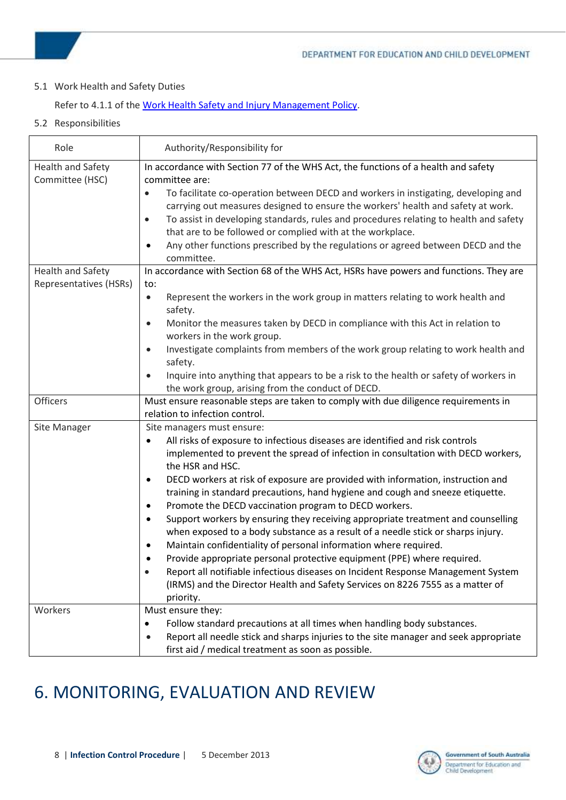#### <span id="page-7-0"></span>5.1 Work Health and Safety Duties

#### Refer to 4.1.1 of th[e Work Health Safety and Injury Management Policy.](http://www.decd.sa.gov.au/docs/documents/1/WorkHealthSafety.pdf)

<span id="page-7-1"></span>5.2 Responsibilities

| Role                                               | Authority/Responsibility for                                                                                                                                                                                                                                                                                                                                                                                                                                                                                                                                                                                                                                                                                                                                                                                                                                                                                                                                                                                       |
|----------------------------------------------------|--------------------------------------------------------------------------------------------------------------------------------------------------------------------------------------------------------------------------------------------------------------------------------------------------------------------------------------------------------------------------------------------------------------------------------------------------------------------------------------------------------------------------------------------------------------------------------------------------------------------------------------------------------------------------------------------------------------------------------------------------------------------------------------------------------------------------------------------------------------------------------------------------------------------------------------------------------------------------------------------------------------------|
| <b>Health and Safety</b><br>Committee (HSC)        | In accordance with Section 77 of the WHS Act, the functions of a health and safety<br>committee are:<br>To facilitate co-operation between DECD and workers in instigating, developing and<br>$\bullet$<br>carrying out measures designed to ensure the workers' health and safety at work.<br>To assist in developing standards, rules and procedures relating to health and safety<br>$\bullet$<br>that are to be followed or complied with at the workplace.<br>Any other functions prescribed by the regulations or agreed between DECD and the<br>$\bullet$<br>committee.                                                                                                                                                                                                                                                                                                                                                                                                                                     |
| <b>Health and Safety</b><br>Representatives (HSRs) | In accordance with Section 68 of the WHS Act, HSRs have powers and functions. They are<br>to:<br>Represent the workers in the work group in matters relating to work health and<br>$\bullet$<br>safety.<br>Monitor the measures taken by DECD in compliance with this Act in relation to<br>$\bullet$<br>workers in the work group.<br>Investigate complaints from members of the work group relating to work health and<br>$\bullet$<br>safety.<br>Inquire into anything that appears to be a risk to the health or safety of workers in<br>the work group, arising from the conduct of DECD.                                                                                                                                                                                                                                                                                                                                                                                                                     |
| <b>Officers</b>                                    | Must ensure reasonable steps are taken to comply with due diligence requirements in<br>relation to infection control.                                                                                                                                                                                                                                                                                                                                                                                                                                                                                                                                                                                                                                                                                                                                                                                                                                                                                              |
| Site Manager                                       | Site managers must ensure:<br>All risks of exposure to infectious diseases are identified and risk controls<br>$\bullet$<br>implemented to prevent the spread of infection in consultation with DECD workers,<br>the HSR and HSC.<br>DECD workers at risk of exposure are provided with information, instruction and<br>٠<br>training in standard precautions, hand hygiene and cough and sneeze etiquette.<br>Promote the DECD vaccination program to DECD workers.<br>٠<br>Support workers by ensuring they receiving appropriate treatment and counselling<br>$\bullet$<br>when exposed to a body substance as a result of a needle stick or sharps injury.<br>Maintain confidentiality of personal information where required.<br>٠<br>Provide appropriate personal protective equipment (PPE) where required.<br>Report all notifiable infectious diseases on Incident Response Management System<br>$\bullet$<br>(IRMS) and the Director Health and Safety Services on 8226 7555 as a matter of<br>priority. |
| Workers                                            | Must ensure they:<br>Follow standard precautions at all times when handling body substances.<br>$\bullet$<br>Report all needle stick and sharps injuries to the site manager and seek appropriate<br>$\bullet$<br>first aid / medical treatment as soon as possible.                                                                                                                                                                                                                                                                                                                                                                                                                                                                                                                                                                                                                                                                                                                                               |

### <span id="page-7-2"></span>6. MONITORING, EVALUATION AND REVIEW

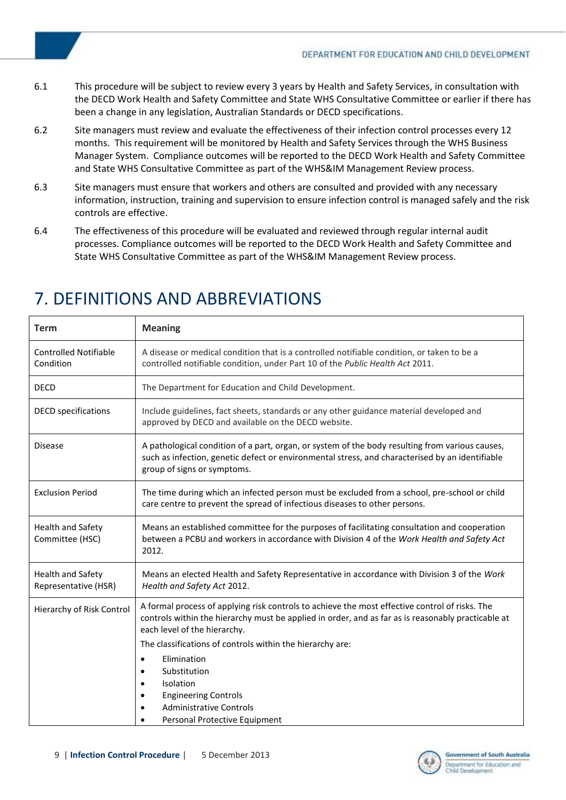- 6.1 This procedure will be subject to review every 3 years by Health and Safety Services, in consultation with the DECD Work Health and Safety Committee and State WHS Consultative Committee or earlier if there has been a change in any legislation, Australian Standards or DECD specifications.
- 6.2 Site managers must review and evaluate the effectiveness of their infection control processes every 12 months. This requirement will be monitored by Health and Safety Services through the WHS Business Manager System. Compliance outcomes will be reported to the DECD Work Health and Safety Committee and State WHS Consultative Committee as part of the WHS&IM Management Review process.
- 6.3 Site managers must ensure that workers and others are consulted and provided with any necessary information, instruction, training and supervision to ensure infection control is managed safely and the risk controls are effective.
- 6.4 The effectiveness of this procedure will be evaluated and reviewed through regular internal audit processes. Compliance outcomes will be reported to the DECD Work Health and Safety Committee and State WHS Consultative Committee as part of the WHS&IM Management Review process.

| Term                                      | <b>Meaning</b>                                                                                                                                                                                                                       |
|-------------------------------------------|--------------------------------------------------------------------------------------------------------------------------------------------------------------------------------------------------------------------------------------|
| <b>Controlled Notifiable</b><br>Condition | A disease or medical condition that is a controlled notifiable condition, or taken to be a<br>controlled notifiable condition, under Part 10 of the Public Health Act 2011.                                                          |
| <b>DECD</b>                               | The Department for Education and Child Development.                                                                                                                                                                                  |
| <b>DECD</b> specifications                | Include guidelines, fact sheets, standards or any other guidance material developed and<br>approved by DECD and available on the DECD website.                                                                                       |
| <b>Disease</b>                            | A pathological condition of a part, organ, or system of the body resulting from various causes,<br>such as infection, genetic defect or environmental stress, and characterised by an identifiable<br>group of signs or symptoms.    |
| <b>Exclusion Period</b>                   | The time during which an infected person must be excluded from a school, pre-school or child<br>care centre to prevent the spread of infectious diseases to other persons.                                                           |
| Health and Safety<br>Committee (HSC)      | Means an established committee for the purposes of facilitating consultation and cooperation<br>between a PCBU and workers in accordance with Division 4 of the Work Health and Safety Act<br>2012.                                  |
| Health and Safety<br>Representative (HSR) | Means an elected Health and Safety Representative in accordance with Division 3 of the Work<br>Health and Safety Act 2012.                                                                                                           |
| Hierarchy of Risk Control                 | A formal process of applying risk controls to achieve the most effective control of risks. The<br>controls within the hierarchy must be applied in order, and as far as is reasonably practicable at<br>each level of the hierarchy. |
|                                           | The classifications of controls within the hierarchy are:                                                                                                                                                                            |
|                                           | Elimination<br>$\bullet$                                                                                                                                                                                                             |
|                                           | Substitution<br>٠                                                                                                                                                                                                                    |
|                                           | Isolation<br>$\bullet$<br><b>Engineering Controls</b>                                                                                                                                                                                |
|                                           | <b>Administrative Controls</b>                                                                                                                                                                                                       |
|                                           | Personal Protective Equipment                                                                                                                                                                                                        |

### <span id="page-8-0"></span>7. DEFINITIONS AND ABBREVIATIONS

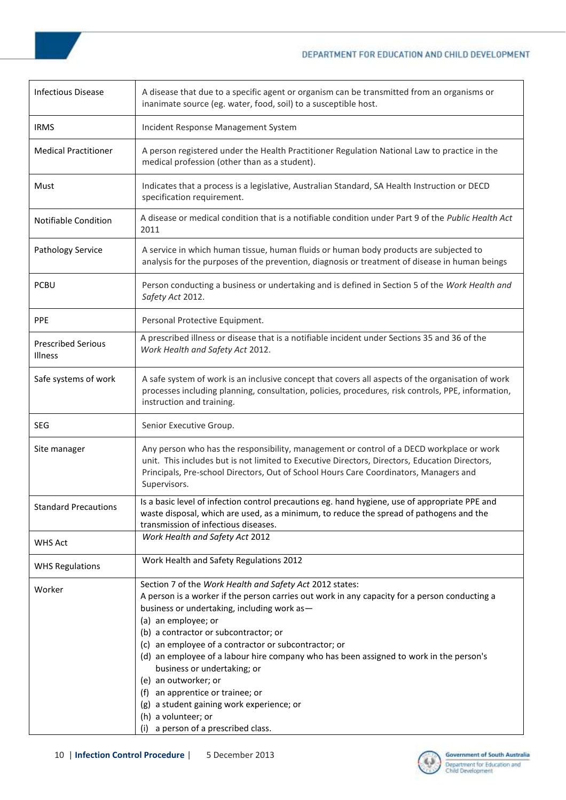#### DEPARTMENT FOR EDUCATION AND CHILD DEVELOPMENT

 $\overline{\phantom{a}}$ 

| A disease that due to a specific agent or organism can be transmitted from an organisms or<br>inanimate source (eg. water, food, soil) to a susceptible host.                                                                                                                                                                                                                                                                                                                                                                                                                                                                       |
|-------------------------------------------------------------------------------------------------------------------------------------------------------------------------------------------------------------------------------------------------------------------------------------------------------------------------------------------------------------------------------------------------------------------------------------------------------------------------------------------------------------------------------------------------------------------------------------------------------------------------------------|
| Incident Response Management System                                                                                                                                                                                                                                                                                                                                                                                                                                                                                                                                                                                                 |
| A person registered under the Health Practitioner Regulation National Law to practice in the<br>medical profession (other than as a student).                                                                                                                                                                                                                                                                                                                                                                                                                                                                                       |
| Indicates that a process is a legislative, Australian Standard, SA Health Instruction or DECD<br>specification requirement.                                                                                                                                                                                                                                                                                                                                                                                                                                                                                                         |
| A disease or medical condition that is a notifiable condition under Part 9 of the Public Health Act<br>2011                                                                                                                                                                                                                                                                                                                                                                                                                                                                                                                         |
| A service in which human tissue, human fluids or human body products are subjected to<br>analysis for the purposes of the prevention, diagnosis or treatment of disease in human beings                                                                                                                                                                                                                                                                                                                                                                                                                                             |
| Person conducting a business or undertaking and is defined in Section 5 of the Work Health and<br>Safety Act 2012.                                                                                                                                                                                                                                                                                                                                                                                                                                                                                                                  |
| Personal Protective Equipment.                                                                                                                                                                                                                                                                                                                                                                                                                                                                                                                                                                                                      |
| A prescribed illness or disease that is a notifiable incident under Sections 35 and 36 of the<br>Work Health and Safety Act 2012.                                                                                                                                                                                                                                                                                                                                                                                                                                                                                                   |
| A safe system of work is an inclusive concept that covers all aspects of the organisation of work<br>processes including planning, consultation, policies, procedures, risk controls, PPE, information,<br>instruction and training.                                                                                                                                                                                                                                                                                                                                                                                                |
| Senior Executive Group.                                                                                                                                                                                                                                                                                                                                                                                                                                                                                                                                                                                                             |
| Any person who has the responsibility, management or control of a DECD workplace or work<br>unit. This includes but is not limited to Executive Directors, Directors, Education Directors,<br>Principals, Pre-school Directors, Out of School Hours Care Coordinators, Managers and<br>Supervisors.                                                                                                                                                                                                                                                                                                                                 |
| Is a basic level of infection control precautions eg. hand hygiene, use of appropriate PPE and<br>waste disposal, which are used, as a minimum, to reduce the spread of pathogens and the<br>transmission of infectious diseases.                                                                                                                                                                                                                                                                                                                                                                                                   |
| Work Health and Safety Act 2012                                                                                                                                                                                                                                                                                                                                                                                                                                                                                                                                                                                                     |
| Work Health and Safety Regulations 2012                                                                                                                                                                                                                                                                                                                                                                                                                                                                                                                                                                                             |
| Section 7 of the Work Health and Safety Act 2012 states:<br>A person is a worker if the person carries out work in any capacity for a person conducting a<br>business or undertaking, including work as-<br>(a) an employee; or<br>(b) a contractor or subcontractor; or<br>(c) an employee of a contractor or subcontractor; or<br>(d) an employee of a labour hire company who has been assigned to work in the person's<br>business or undertaking; or<br>(e) an outworker; or<br>(f) an apprentice or trainee; or<br>(g) a student gaining work experience; or<br>(h) a volunteer; or<br>a person of a prescribed class.<br>(i) |
|                                                                                                                                                                                                                                                                                                                                                                                                                                                                                                                                                                                                                                     |

**r**